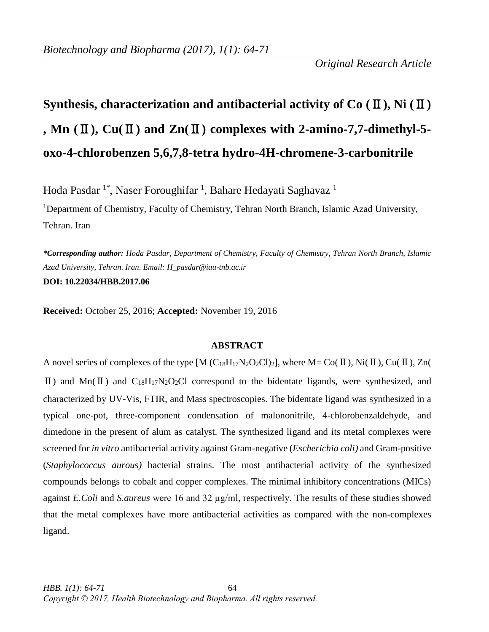*Original Research Article*

# **Synthesis, characterization and antibacterial activity of**  $Co$  **(** $\mathbb{I}$ **), Ni (** $\mathbb{I}$ **) , Mn (**Ⅱ**), Cu(**Ⅱ**) and Zn(**Ⅱ**) complexes with 2-amino-7,7-dimethyl-5 oxo-4-chlorobenzen 5,6,7,8-tetra hydro-4H-chromene-3-carbonitrile**

Hoda Pasdar <sup>1\*</sup>, Naser Foroughifar <sup>1</sup>, Bahare Hedayati Saghavaz <sup>1</sup>

<sup>1</sup>Department of Chemistry, Faculty of Chemistry, Tehran North Branch, Islamic Azad University, Tehran. Iran

*\*Corresponding author: Hoda Pasdar, Department of Chemistry, Faculty of Chemistry, Tehran North Branch, Islamic Azad University, Tehran. Iran. Email: H\_pasdar@iau-tnb.ac.ir* **DOI: 10.22034/HBB.2017.06**

**Received:** October 25, 2016; **Accepted:** November 19, 2016

### **ABSTRACT**

A novel series of complexes of the type  $[M (C_{18}H_{17}N_2O_2Cl)_2]$ , where M= Co( $\Pi$ ), Ni( $\Pi$ ), Cu( $\Pi$ ), Zn( II) and Mn(II) and C<sub>18</sub>H<sub>17</sub>N<sub>2</sub>O<sub>2</sub>Cl correspond to the bidentate ligands, were synthesized, and characterized by UV-Vis, FTIR, and Mass spectroscopies. The bidentate ligand was synthesized in a typical one-pot, three-component condensation of malononitrile, 4-chlorobenzaldehyde, and dimedone in the present of alum as catalyst. The synthesized ligand and its metal complexes were screened for *in vitro* antibacterial activity against Gram-negative (*Escherichia coli)* and Gram-positive (*Staphylococcus aurous)* bacterial strains. The most antibacterial activity of the synthesized compounds belongs to cobalt and copper complexes. The minimal inhibitory concentrations (MICs) against *E.Coli* and *S.aureus* were 16 and 32 µg/ml, respectively. The results of these studies showed that the metal complexes have more antibacterial activities as compared with the non-complexes ligand.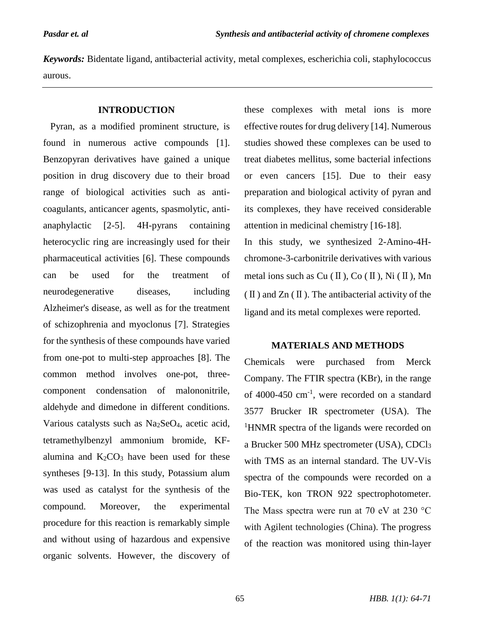*Keywords:* Bidentate ligand, antibacterial activity, metal complexes, escherichia coli, staphylococcus aurous.

### **INTRODUCTION**

 Pyran, as a modified prominent structure, is found in numerous active compounds [1]. Benzopyran derivatives have gained a unique position in drug discovery due to their broad range of biological activities such as anticoagulants, anticancer agents, spasmolytic, antianaphylactic [2-5]. 4H-pyrans containing heterocyclic ring are increasingly used for their pharmaceutical activities [6]. These compounds can be used for the treatment of neurodegenerative diseases, including Alzheimer's disease, as well as for the treatment of schizophrenia and myoclonus [7]. Strategies for the synthesis of these compounds have varied from one-pot to multi-step approaches [8]. The common method involves one-pot, threecomponent condensation of malononitrile, aldehyde and dimedone in different conditions. Various catalysts such as Na2SeO4, acetic acid, tetramethylbenzyl ammonium bromide, KFalumina and  $K_2CO_3$  have been used for these syntheses [9-13]. In this study, Potassium alum was used as catalyst for the synthesis of the compound. Moreover, the experimental procedure for this reaction is remarkably simple and without using of hazardous and expensive organic solvents. However, the discovery of

these complexes with metal ions is more effective routes for drug delivery [14]. Numerous studies showed these complexes can be used to treat diabetes mellitus, some bacterial infections or even cancers [15]. Due to their easy preparation and biological activity of pyran and its complexes, they have received considerable attention in medicinal chemistry [16-18]. In this study, we synthesized 2-Amino-4H-

chromone-3-carbonitrile derivatives with various metal ions such as  $Cu$  ( $\mathbb{I}$ ),  $Co$  ( $\mathbb{I}$ ),  $Ni$  ( $\mathbb{I}$ ),  $Mn$  $(\Pi)$  and  $\text{Zn}(\Pi)$ . The antibacterial activity of the ligand and its metal complexes were reported.

#### **MATERIALS AND METHODS**

Chemicals were purchased from Merck Company. The FTIR spectra (KBr), in the range of 4000-450 cm-1 , were recorded on a standard 3577 Brucker IR spectrometer (USA). The <sup>1</sup>HNMR spectra of the ligands were recorded on a Brucker 500 MHz spectrometer (USA), CDCl<sup>3</sup> with TMS as an internal standard. The UV-Vis spectra of the compounds were recorded on a Bio-TEK, kon TRON 922 spectrophotometer. The Mass spectra were run at 70 eV at 230 °C with Agilent technologies (China). The progress of the reaction was monitored using thin-layer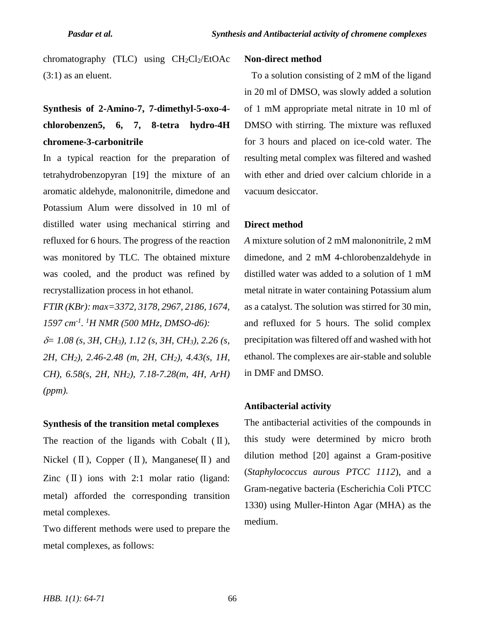chromatography (TLC) using  $CH_2Cl_2/EtOAc$ (3:1) as an eluent.

## **Synthesis of 2-Amino-7, 7-dimethyl-5-oxo-4 chlorobenzen5, 6, 7, 8-tetra hydro-4H chromene-3-carbonitrile**

In a typical reaction for the preparation of tetrahydrobenzopyran [19] the mixture of an aromatic aldehyde, malononitrile, dimedone and Potassium Alum were dissolved in 10 ml of distilled water using mechanical stirring and refluxed for 6 hours. The progress of the reaction was monitored by TLC. The obtained mixture was cooled, and the product was refined by recrystallization process in hot ethanol.

*FTIR (KBr): max=3372, 3178, 2967, 2186, 1674, 1597 cm-1 . <sup>1</sup>H NMR (500 MHz, DMSO-d6): = 1.08 (s, 3H, CH3), 1.12 (s, 3H, CH3), 2.26 (s, 2H, CH2), 2.46-2.48 (m, 2H, CH2), 4.43(s, 1H, CH), 6.58(s, 2H, NH2), 7.18-7.28(m, 4H, ArH) (ppm).*

#### **Synthesis of the transition metal complexes**

The reaction of the ligands with Cobalt  $(\Pi)$ , Nickel  $(\Pi)$ , Copper  $(\Pi)$ , Manganese $(\Pi)$  and Zinc  $(\Pi)$  ions with 2:1 molar ratio (ligand: metal) afforded the corresponding transition metal complexes.

Two different methods were used to prepare the metal complexes, as follows:

#### **Non-direct method**

 To a solution consisting of 2 mM of the ligand in 20 ml of DMSO, was slowly added a solution of 1 mM appropriate metal nitrate in 10 ml of DMSO with stirring. The mixture was refluxed for 3 hours and placed on ice-cold water. The resulting metal complex was filtered and washed with ether and dried over calcium chloride in a vacuum desiccator.

#### **Direct method**

*A* mixture solution of 2 mM malononitrile, 2 mM dimedone, and 2 mM 4-chlorobenzaldehyde in distilled water was added to a solution of 1 mM metal nitrate in water containing Potassium alum as a catalyst. The solution was stirred for 30 min, and refluxed for 5 hours. The solid complex precipitation was filtered off and washed with hot ethanol. The complexes are air-stable and soluble in DMF and DMSO.

#### **Antibacterial activity**

The antibacterial activities of the compounds in this study were determined by micro broth dilution method [20] against a Gram-positive (*Staphylococcus aurous PTCC 1112*), and a Gram-negative bacteria (Escherichia Coli PTCC 1330) using Muller-Hinton Agar (MHA) as the medium.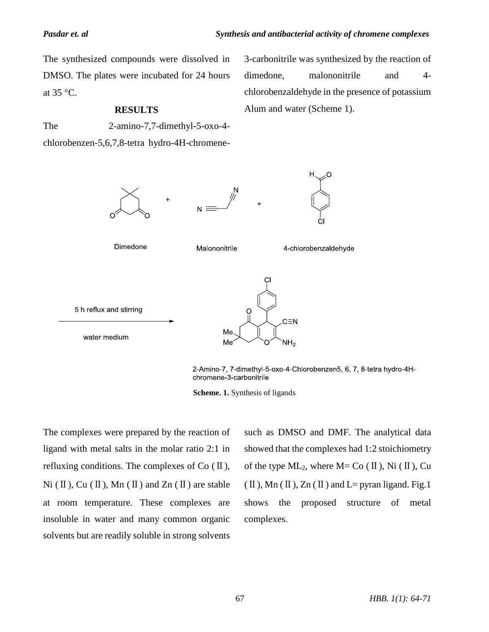The synthesized compounds were dissolved in DMSO. The plates were incubated for 24 hours at  $35^{\circ}$ C.

#### **RESULTS**

chlorobenzen-5,6,7,8-tetra hydro-4H-chromene-

The 2-amino-7,7-dimethyl-5-oxo-4-

3-carbonitrile was synthesized by the reaction of dimedone, malononitrile and 4chlorobenzaldehyde in the presence of potassium Alum and water (Scheme 1).



2-Amino-7, 7-dimethyl-5-oxo-4-Chlorobenzen5, 6, 7, 8-tetra hydro-4Hchromene-3-carbonitrile



The complexes were prepared by the reaction of ligand with metal salts in the molar ratio 2:1 in refluxing conditions. The complexes of  $Co$  ( $\mathbb{I}$ ), Ni ( $\Pi$ ), Cu ( $\Pi$ ), Mn ( $\Pi$ ) and Zn ( $\Pi$ ) are stable at room temperature. These complexes are insoluble in water and many common organic solvents but are readily soluble in strong solvents

such as DMSO and DMF. The analytical data showed that the complexes had 1:2 stoichiometry of the type  $ML_2$ , where  $M = Co (II)$ , Ni (II), Cu  $(\Pi)$ , Mn  $(\Pi)$ , Zn  $(\Pi)$  and L= pyran ligand. Fig.1 shows the proposed structure of metal complexes.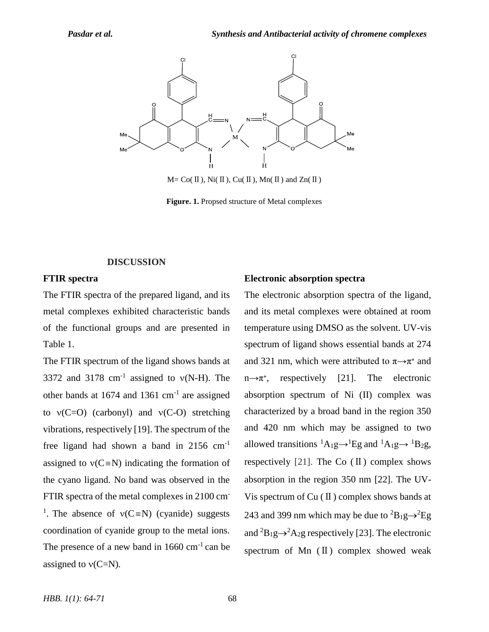

 $M = Co(H), Ni(H), Cu(H), Mn(H)$  and  $Zn(H)$ 

**Figure. 1.** Propsed structure of Metal complexes

#### **DISCUSSION**

#### **FTIR spectra**

The FTIR spectra of the prepared ligand, and its metal complexes exhibited characteristic bands of the functional groups and are presented in Table 1.

The FTIR spectrum of the ligand shows bands at 3372 and 3178  $cm^{-1}$  assigned to  $v(N-H)$ . The other bands at  $1674$  and  $1361$  cm<sup>-1</sup> are assigned to  $v(C=O)$  (carbonyl) and  $v(C-O)$  stretching vibrations, respectively [19]. The spectrum of the free ligand had shown a band in 2156 cm-1 assigned to  $v(C= N)$  indicating the formation of the cyano ligand. No band was observed in the FTIR spectra of the metal complexes in 2100 cm-<sup>1</sup>. The absence of  $v(C= N)$  (cyanide) suggests coordination of cyanide group to the metal ions. The presence of a new band in  $1660 \text{ cm}^{-1}$  can be assigned to  $v(C=N)$ .

#### **Electronic absorption spectra**

The electronic absorption spectra of the ligand, and its metal complexes were obtained at room temperature using DMSO as the solvent. UV-vis spectrum of ligand shows essential bands at 274 and 321 nm, which were attributed to  $\pi \rightarrow \pi^*$  and n→π<sup>∗</sup> , respectively [21]. The electronic absorption spectrum of Ni (II) complex was characterized by a broad band in the region 350 and 420 nm which may be assigned to two allowed transitions  ${}^{1}A_{1}g\rightarrow {}^{1}Eg$  and  ${}^{1}A_{1}g\rightarrow {}^{1}B_{2}g$ , respectively [21]. The Co  $(\Pi)$  complex shows absorption in the region 350 nm [22]. The UV-Vis spectrum of  $Cu$  ( $II$ ) complex shows bands at 243 and 399 nm which may be due to  ${}^{2}B_{1}g \rightarrow {}^{2}Eg$ and  ${}^{2}B_{1}g \rightarrow {}^{2}A_{2}g$  respectively [23]. The electronic spectrum of Mn  $(\Pi)$  complex showed weak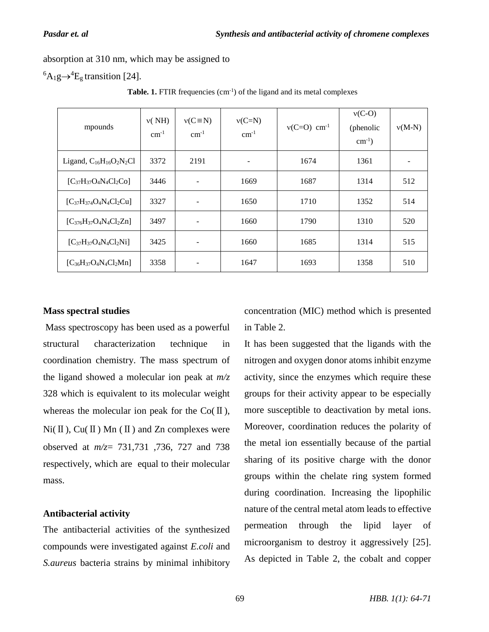absorption at 310 nm, which may be assigned to

 ${}^{6}A_1g \rightarrow {}^{4}E_g$  transition [24].

| mpounds                        | v(MH)<br>$cm^{-1}$ | $v(C \equiv N)$<br>$cm^{-1}$ | $v(C=N)$<br>$cm^{-1}$ | $v(C=O)$ cm <sup>-1</sup> | $v(C-O)$<br>(phenolic<br>$cm^{-1}$ ) | $v(M-N)$ |
|--------------------------------|--------------------|------------------------------|-----------------------|---------------------------|--------------------------------------|----------|
| Ligand, $C_{16}H_{16}O_2N_2Cl$ | 3372               | 2191                         | -                     | 1674                      | 1361                                 |          |
| $[C_{37}H_{37}O_4N_4Cl_2Co]$   | 3446               | ۰                            | 1669                  | 1687                      | 1314                                 | 512      |
| $[C_{37}H_{374}O_4N_4Cl_2Cu]$  | 3327               | $\qquad \qquad -$            | 1650                  | 1710                      | 1352                                 | 514      |
| $[C_{376}H_{37}O_4N_4Cl_2Zn]$  | 3497               | ۰                            | 1660                  | 1790                      | 1310                                 | 520      |
| $[C_{37}H_{37}O_4N_4Cl_2Ni]$   | 3425               |                              | 1660                  | 1685                      | 1314                                 | 515      |
| $[C_{36}H_{37}O_4N_4Cl_2Mn]$   | 3358               |                              | 1647                  | 1693                      | 1358                                 | 510      |

**Table. 1.** FTIR frequencies  $(cm<sup>-1</sup>)$  of the ligand and its metal complexes

#### **Mass spectral studies**

Mass spectroscopy has been used as a powerful structural characterization technique in coordination chemistry. The mass spectrum of the ligand showed a molecular ion peak at *m/z*  328 which is equivalent to its molecular weight whereas the molecular ion peak for the  $Co(\Pi)$ ,  $Ni(II)$ ,  $Cu(II)$  Mn (II) and Zn complexes were observed at *m/z*= 731,731 ,736, 727 and 738 respectively, which are equal to their molecular mass.

#### **Antibacterial activity**

The antibacterial activities of the synthesized compounds were investigated against *E.coli* and *S.aureus* bacteria strains by minimal inhibitory

concentration (MIC) method which is presented in Table 2.

It has been suggested that the ligands with the nitrogen and oxygen donor atoms inhibit enzyme activity, since the enzymes which require these groups for their activity appear to be especially more susceptible to deactivation by metal ions. Moreover, coordination reduces the polarity of the metal ion essentially because of the partial sharing of its positive charge with the donor groups within the chelate ring system formed during coordination. Increasing the lipophilic nature of the central metal atom leads to effective permeation through the lipid layer of microorganism to destroy it aggressively [25]. As depicted in Table 2, the cobalt and copper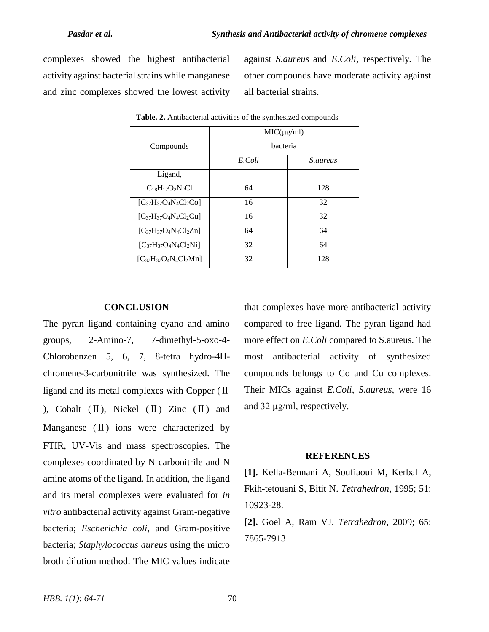complexes showed the highest antibacterial activity against bacterial strains while manganese and zinc complexes showed the lowest activity against *S.aureus* and *E.Coli,* respectively*.* The other compounds have moderate activity against all bacterial strains.

|                              | $MIC(\mu g/ml)$ |                 |  |  |
|------------------------------|-----------------|-----------------|--|--|
| Compounds                    | bacteria        |                 |  |  |
|                              | E.Coli          | <i>S.aureus</i> |  |  |
| Ligand,                      |                 |                 |  |  |
| $C_{18}H_{17}O_2N_2Cl$       | 64              | 128             |  |  |
| $[C_{37}H_{37}O_4N_4Cl_2Co]$ | 16              | 32              |  |  |
| $[C_{37}H_{37}O_4N_4Cl_2Cu]$ | 16              | 32              |  |  |
| $[C_{37}H_{37}O_4N_4Cl_2Zn]$ | 64              | 64              |  |  |
| $[C_{37}H_{37}O_4N_4Cl_2Ni]$ | 32              | 64              |  |  |
| $[C_{37}H_{37}O_4N_4Cl_2Mn]$ | 32              | 128             |  |  |

**Table. 2.** Antibacterial activities of the synthesized compounds

#### **CONCLUSION**

The pyran ligand containing cyano and amino groups, 2-Amino-7, 7-dimethyl-5-oxo-4- Chlorobenzen 5, 6, 7, 8-tetra hydro-4Hchromene-3-carbonitrile was synthesized. The ligand and its metal complexes with Copper (Ⅱ ), Cobalt  $(\Pi)$ , Nickel  $(\Pi)$  Zinc  $(\Pi)$  and Manganese (II) ions were characterized by FTIR, UV-Vis and mass spectroscopies. The complexes coordinated by N carbonitrile and N amine atoms of the ligand. In addition, the ligand and its metal complexes were evaluated for *in vitro* antibacterial activity against Gram-negative bacteria; *Escherichia coli,* and Gram-positive bacteria; *Staphylococcus aureus* using the micro broth dilution method. The MIC values indicate

that complexes have more antibacterial activity compared to free ligand. The pyran ligand had more effect on *E.Coli* compared to S.aureus. The most antibacterial activity of synthesized compounds belongs to Co and Cu complexes. Their MICs against *E.Coli*, *S.aureus*, were 16 and 32 µg/ml, respectively.

#### **REFERENCES**

**[1].** Kella-Bennani A, Soufiaoui M, Kerbal A, Fkih-tetouani S, Bitit N. *Tetrahedron*, 1995; 51: 10923-28.

**[2].** Goel A, Ram VJ. *Tetrahedron*, 2009; 65: 7865-7913